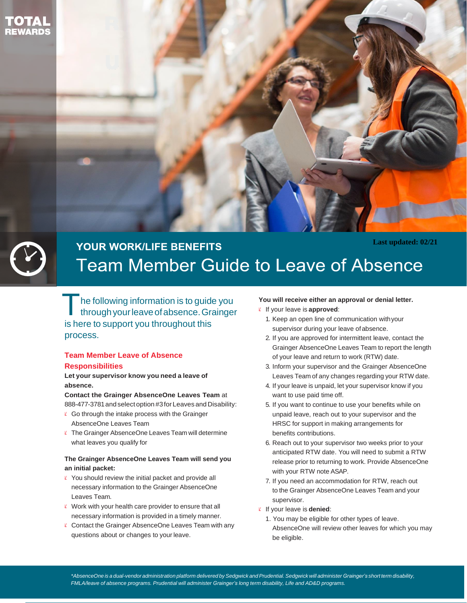



# **Last updated: 02/21 YOUR WORK/LIFE BENEFITS Team Member Guide to Leave of Absence**

T he following information is to guide you throughyourleaveofabsence.Grainger is here to support you throughout this process.

## **Team Member Leave of Absence Responsibilities**

**Let your supervisor know you need a leave of absence.**

**Contact the Grainger AbsenceOne Leaves Team** at 888-477-3781 and select option #3 for Leaves and Disability:

- $\ell$  Go through the intake process with the Grainger AbsenceOne Leaves Team
- $K$  The Grainger AbsenceOne Leaves Team will determine what leaves you qualify for

### **The Grainger AbsenceOne Leaves Team will send you an initial packet:**

- $\ell$  You should review the initial packet and provide all necessary information to the Grainger AbsenceOne Leaves Team.
- $\ell$  Work with your health care provider to ensure that all necessary information is provided in a timely manner.
- $\ell$  Contact the Grainger AbsenceOne Leaves Team with any questions about or changes to your leave.

#### **You will receive either an approval or denial letter.**

- If your leave is **approved**:
	- 1. Keep an open line of communication withyour supervisor during your leave ofabsence.
	- 2. If you are approved for intermittent leave, contact the Grainger AbsenceOne Leaves Team to report the length of your leave and return to work (RTW) date.
	- 3. Inform your supervisor and the Grainger AbsenceOne Leaves Team of any changes regarding your RTW date.
	- 4. If your leave is unpaid, let your supervisor know if you want to use paid time off.
	- 5. If you want to continue to use your benefits while on unpaid leave, reach out to your supervisor and the HRSC for support in making arrangements for benefits contributions.
	- 6. Reach out to your supervisor two weeks prior to your anticipated RTW date. You will need to submit a RTW release prior to returning to work. Provide AbsenceOne with your RTW note ASAP.
	- 7. If you need an accommodation for RTW, reach out to the Grainger AbsenceOne Leaves Team and your supervisor.
- If your leave is **denied**:
	- 1. You may be eligible for other types of leave. AbsenceOne will review other leaves for which you may be eligible.